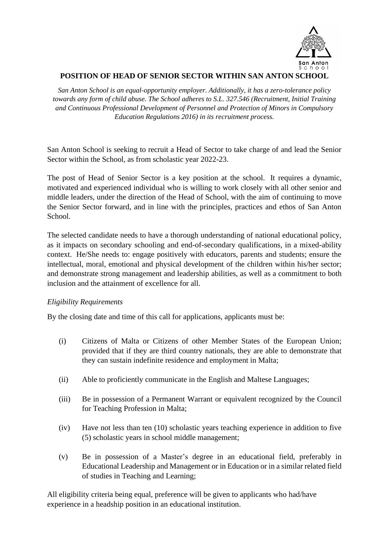

# **POSITION OF HEAD OF SENIOR SECTOR WITHIN SAN ANTON SCHOOL**

*San Anton School is an equal-opportunity employer. Additionally, it has a zero-tolerance policy towards any form of child abuse. The School adheres to S.L. 327.546 (Recruitment, Initial Training and Continuous Professional Development of Personnel and Protection of Minors in Compulsory Education Regulations 2016) in its recruitment process.*

San Anton School is seeking to recruit a Head of Sector to take charge of and lead the Senior Sector within the School, as from scholastic year 2022-23.

The post of Head of Senior Sector is a key position at the school. It requires a dynamic, motivated and experienced individual who is willing to work closely with all other senior and middle leaders, under the direction of the Head of School, with the aim of continuing to move the Senior Sector forward, and in line with the principles, practices and ethos of San Anton School.

The selected candidate needs to have a thorough understanding of national educational policy, as it impacts on secondary schooling and end-of-secondary qualifications, in a mixed-ability context. He/She needs to: engage positively with educators, parents and students; ensure the intellectual, moral, emotional and physical development of the children within his/her sector; and demonstrate strong management and leadership abilities, as well as a commitment to both inclusion and the attainment of excellence for all.

## *Eligibility Requirements*

By the closing date and time of this call for applications, applicants must be:

- (i) Citizens of Malta or Citizens of other Member States of the European Union; provided that if they are third country nationals, they are able to demonstrate that they can sustain indefinite residence and employment in Malta;
- (ii) Able to proficiently communicate in the English and Maltese Languages;
- (iii) Be in possession of a Permanent Warrant or equivalent recognized by the Council for Teaching Profession in Malta;
- (iv) Have not less than ten (10) scholastic years teaching experience in addition to five (5) scholastic years in school middle management;
- (v) Be in possession of a Master's degree in an educational field, preferably in Educational Leadership and Management or in Education or in a similar related field of studies in Teaching and Learning;

All eligibility criteria being equal, preference will be given to applicants who had/have experience in a headship position in an educational institution.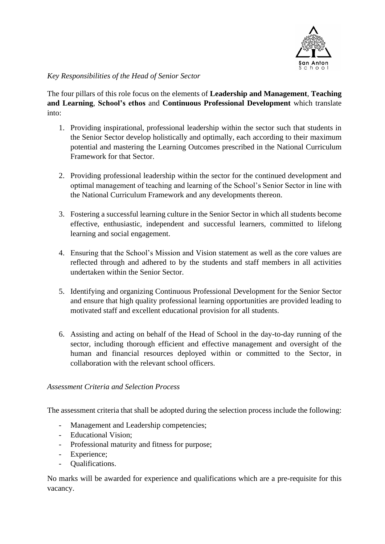

# *Key Responsibilities of the Head of Senior Sector*

The four pillars of this role focus on the elements of **Leadership and Management**, **Teaching and Learning**, **School's ethos** and **Continuous Professional Development** which translate into:

- 1. Providing inspirational, professional leadership within the sector such that students in the Senior Sector develop holistically and optimally, each according to their maximum potential and mastering the Learning Outcomes prescribed in the National Curriculum Framework for that Sector.
- 2. Providing professional leadership within the sector for the continued development and optimal management of teaching and learning of the School's Senior Sector in line with the National Curriculum Framework and any developments thereon.
- 3. Fostering a successful learning culture in the Senior Sector in which all students become effective, enthusiastic, independent and successful learners, committed to lifelong learning and social engagement.
- 4. Ensuring that the School's Mission and Vision statement as well as the core values are reflected through and adhered to by the students and staff members in all activities undertaken within the Senior Sector.
- 5. Identifying and organizing Continuous Professional Development for the Senior Sector and ensure that high quality professional learning opportunities are provided leading to motivated staff and excellent educational provision for all students.
- 6. Assisting and acting on behalf of the Head of School in the day-to-day running of the sector, including thorough efficient and effective management and oversight of the human and financial resources deployed within or committed to the Sector, in collaboration with the relevant school officers.

## *Assessment Criteria and Selection Process*

The assessment criteria that shall be adopted during the selection process include the following:

- Management and Leadership competencies;
- Educational Vision;
- Professional maturity and fitness for purpose;
- Experience;
- Qualifications.

No marks will be awarded for experience and qualifications which are a pre-requisite for this vacancy.